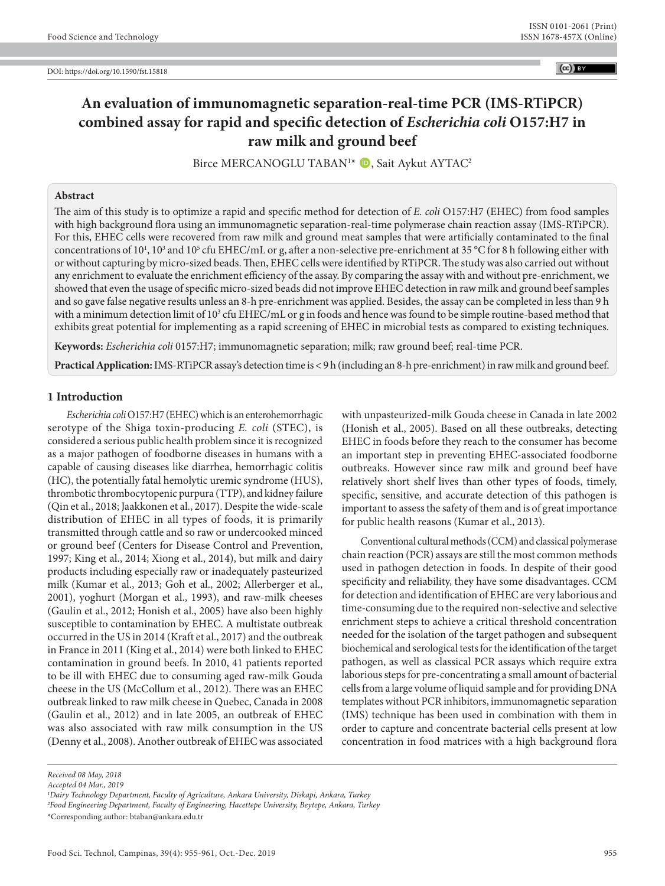# **An evaluation of immunomagnetic separation-real-time PCR (IMS-RTiPCR) combined assay for rapid and specific detection of** *Escherichia coli* **O157:H7 in raw milk and ground beef**

Birce MERCANOGLU TABAN<sup>1\*</sup> (D, Sait Aykut AYTAC<sup>2</sup>

# **Abstract**

The aim of this study is to optimize a rapid and specific method for detection of *E. coli* O157:H7 (EHEC) from food samples with high background flora using an immunomagnetic separation-real-time polymerase chain reaction assay (IMS-RTiPCR). For this, EHEC cells were recovered from raw milk and ground meat samples that were artificially contaminated to the final concentrations of  $10^1$ ,  $10^3$  and  $10^5$  cfu EHEC/mL or g, after a non-selective pre-enrichment at 35 °C for 8 h following either with or without capturing by micro-sized beads. Then, EHEC cells were identified by RTiPCR. The study was also carried out without any enrichment to evaluate the enrichment efficiency of the assay. By comparing the assay with and without pre-enrichment, we showed that even the usage of specific micro-sized beads did not improve EHEC detection in raw milk and ground beef samples and so gave false negative results unless an 8-h pre-enrichment was applied. Besides, the assay can be completed in less than 9 h with a minimum detection limit of 10<sup>3</sup> cfu EHEC/mL or g in foods and hence was found to be simple routine-based method that exhibits great potential for implementing as a rapid screening of EHEC in microbial tests as compared to existing techniques.

**Keywords:** *Escherichia coli* 0157:H7; immunomagnetic separation; milk; raw ground beef; real-time PCR.

**Practical Application:**IMS-RTiPCR assay's detection time is < 9 h (including an 8-h pre-enrichment) in raw milk and ground beef.

#### **1 Introduction**

*Escherichia coli* O157:H7 (EHEC) which is an enterohemorrhagic serotype of the Shiga toxin-producing *E. coli* (STEC), is considered a serious public health problem since it is recognized as a major pathogen of foodborne diseases in humans with a capable of causing diseases like diarrhea, hemorrhagic colitis (HC), the potentially fatal hemolytic uremic syndrome (HUS), thrombotic thrombocytopenic purpura (TTP), and kidney failure (Qin et al., 2018; Jaakkonen et al., 2017). Despite the wide-scale distribution of EHEC in all types of foods, it is primarily transmitted through cattle and so raw or undercooked minced or ground beef (Centers for Disease Control and Prevention, 1997; King et al., 2014; Xiong et al., 2014), but milk and dairy products including especially raw or inadequately pasteurized milk (Kumar et al., 2013; Goh et al., 2002; Allerberger et al., 2001), yoghurt (Morgan et al., 1993), and raw-milk cheeses (Gaulin et al., 2012; Honish et al., 2005) have also been highly susceptible to contamination by EHEC. A multistate outbreak occurred in the US in 2014 (Kraft et al., 2017) and the outbreak in France in 2011 (King et al., 2014) were both linked to EHEC contamination in ground beefs. In 2010, 41 patients reported to be ill with EHEC due to consuming aged raw-milk Gouda cheese in the US (McCollum et al., 2012). There was an EHEC outbreak linked to raw milk cheese in Quebec, Canada in 2008 (Gaulin et al., 2012) and in late 2005, an outbreak of EHEC was also associated with raw milk consumption in the US (Denny et al., 2008). Another outbreak of EHEC was associated with unpasteurized-milk Gouda cheese in Canada in late 2002 (Honish et al., 2005). Based on all these outbreaks, detecting EHEC in foods before they reach to the consumer has become an important step in preventing EHEC-associated foodborne outbreaks. However since raw milk and ground beef have relatively short shelf lives than other types of foods, timely, specific, sensitive, and accurate detection of this pathogen is important to assess the safety of them and is of great importance for public health reasons (Kumar et al., 2013).

Conventional cultural methods (CCM) and classical polymerase chain reaction (PCR) assays are still the most common methods used in pathogen detection in foods. In despite of their good specificity and reliability, they have some disadvantages. CCM for detection and identification of EHEC are very laborious and time-consuming due to the required non-selective and selective enrichment steps to achieve a critical threshold concentration needed for the isolation of the target pathogen and subsequent biochemical and serological tests for the identification of the target pathogen, as well as classical PCR assays which require extra laborious steps for pre-concentrating a small amount of bacterial cells from a large volume of liquid sample and for providing DNA templates without PCR inhibitors, immunomagnetic separation (IMS) technique has been used in combination with them in order to capture and concentrate bacterial cells present at low concentration in food matrices with a high background flora

*Received 08 May, 2018*

*Accepted 04 Mar., 2019*

*<sup>1</sup> Dairy Technology Department, Faculty of Agriculture, Ankara University, Diskapi, Ankara, Turkey*

*<sup>2</sup> Food Engineering Department, Faculty of Engineering, Hacettepe University, Beytepe, Ankara, Turkey*

<sup>\*</sup>Corresponding author: btaban@ankara.edu.tr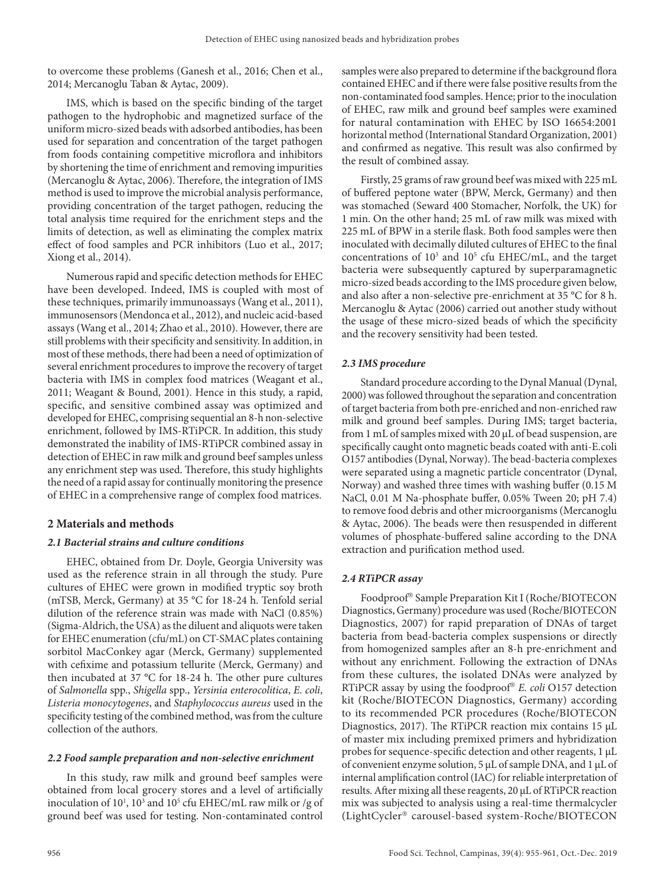to overcome these problems (Ganesh et al., 2016; Chen et al., 2014; Mercanoglu Taban & Aytac, 2009).

IMS, which is based on the specific binding of the target pathogen to the hydrophobic and magnetized surface of the uniform micro-sized beads with adsorbed antibodies, has been used for separation and concentration of the target pathogen from foods containing competitive microflora and inhibitors by shortening the time of enrichment and removing impurities (Mercanoglu & Aytac, 2006). Therefore, the integration of IMS method is used to improve the microbial analysis performance, providing concentration of the target pathogen, reducing the total analysis time required for the enrichment steps and the limits of detection, as well as eliminating the complex matrix effect of food samples and PCR inhibitors (Luo et al., 2017; Xiong et al., 2014).

Numerous rapid and specific detection methods for EHEC have been developed. Indeed, IMS is coupled with most of these techniques, primarily immunoassays (Wang et al., 2011), immunosensors (Mendonca et al., 2012), and nucleic acid-based assays (Wang et al., 2014; Zhao et al., 2010). However, there are still problems with their specificity and sensitivity. In addition, in most of these methods, there had been a need of optimization of several enrichment procedures to improve the recovery of target bacteria with IMS in complex food matrices (Weagant et al., 2011; Weagant & Bound, 2001). Hence in this study, a rapid, specific, and sensitive combined assay was optimized and developed for EHEC, comprising sequential an 8-h non-selective enrichment, followed by IMS-RTiPCR. In addition, this study demonstrated the inability of IMS-RTiPCR combined assay in detection of EHEC in raw milk and ground beef samples unless any enrichment step was used. Therefore, this study highlights the need of a rapid assay for continually monitoring the presence of EHEC in a comprehensive range of complex food matrices.

# **2 Materials and methods**

## *2.1 Bacterial strains and culture conditions*

EHEC, obtained from Dr. Doyle, Georgia University was used as the reference strain in all through the study. Pure cultures of EHEC were grown in modified tryptic soy broth (mTSB, Merck, Germany) at 35 °C for 18-24 h. Tenfold serial dilution of the reference strain was made with NaCl (0.85%) (Sigma-Aldrich, the USA) as the diluent and aliquots were taken for EHEC enumeration (cfu/mL) on CT-SMAC plates containing sorbitol MacConkey agar (Merck, Germany) supplemented with cefixime and potassium tellurite (Merck, Germany) and then incubated at 37 °C for 18-24 h. The other pure cultures of *Salmonella* spp., *Shigella* spp., *Yersinia enterocolitica*, *E. coli*, *Listeria monocytogenes*, and *Staphylococcus aureus* used in the specificity testing of the combined method, was from the culture collection of the authors.

## *2.2 Food sample preparation and non-selective enrichment*

In this study, raw milk and ground beef samples were obtained from local grocery stores and a level of artificially inoculation of 10<sup>1</sup>, 10<sup>3</sup> and 10<sup>5</sup> cfu EHEC/mL raw milk or /g of ground beef was used for testing. Non-contaminated control

samples were also prepared to determine if the background flora contained EHEC and if there were false positive results from the non-contaminated food samples. Hence; prior to the inoculation of EHEC, raw milk and ground beef samples were examined for natural contamination with EHEC by ISO 16654:2001 horizontal method (International Standard Organization, 2001) and confirmed as negative. This result was also confirmed by the result of combined assay.

Firstly, 25 grams of raw ground beef was mixed with 225 mL of buffered peptone water (BPW, Merck, Germany) and then was stomached (Seward 400 Stomacher, Norfolk, the UK) for 1 min. On the other hand; 25 mL of raw milk was mixed with 225 mL of BPW in a sterile flask. Both food samples were then inoculated with decimally diluted cultures of EHEC to the final concentrations of 10<sup>3</sup> and 10<sup>5</sup> cfu EHEC/mL, and the target bacteria were subsequently captured by superparamagnetic micro-sized beads according to the IMS procedure given below, and also after a non-selective pre-enrichment at 35 °C for 8 h. Mercanoglu & Aytac (2006) carried out another study without the usage of these micro-sized beads of which the specificity and the recovery sensitivity had been tested.

# *2.3 IMS procedure*

Standard procedure according to the Dynal Manual (Dynal, 2000) was followed throughout the separation and concentration of target bacteria from both pre-enriched and non-enriched raw milk and ground beef samples. During IMS; target bacteria, from 1 mL of samples mixed with 20 µL of bead suspension, are specifically caught onto magnetic beads coated with anti-E.coli O157 antibodies (Dynal, Norway). The bead-bacteria complexes were separated using a magnetic particle concentrator (Dynal, Norway) and washed three times with washing buffer (0.15 M NaCl, 0.01 M Na-phosphate buffer, 0.05% Tween 20; pH 7.4) to remove food debris and other microorganisms (Mercanoglu & Aytac, 2006). The beads were then resuspended in different volumes of phosphate-buffered saline according to the DNA extraction and purification method used.

# *2.4 RTiPCR assay*

Foodproof<sup>®</sup> Sample Preparation Kit I (Roche/BIOTECON Diagnostics, Germany) procedure was used (Roche/BIOTECON Diagnostics, 2007) for rapid preparation of DNAs of target bacteria from bead-bacteria complex suspensions or directly from homogenized samples after an 8-h pre-enrichment and without any enrichment. Following the extraction of DNAs from these cultures, the isolated DNAs were analyzed by RTiPCR assay by using the foodproof<sup>®</sup> E. coli O157 detection kit (Roche/BIOTECON Diagnostics, Germany) according to its recommended PCR procedures (Roche/BIOTECON Diagnostics, 2017). The RTiPCR reaction mix contains 15 µL of master mix including premixed primers and hybridization probes for sequence-specific detection and other reagents, 1 µL of convenient enzyme solution, 5 µL of sample DNA, and 1 µL of internal amplification control (IAC) for reliable interpretation of results. After mixing all these reagents, 20 µL of RTiPCR reaction mix was subjected to analysis using a real-time thermalcycler (LightCycler® carousel-based system-Roche/BIOTECON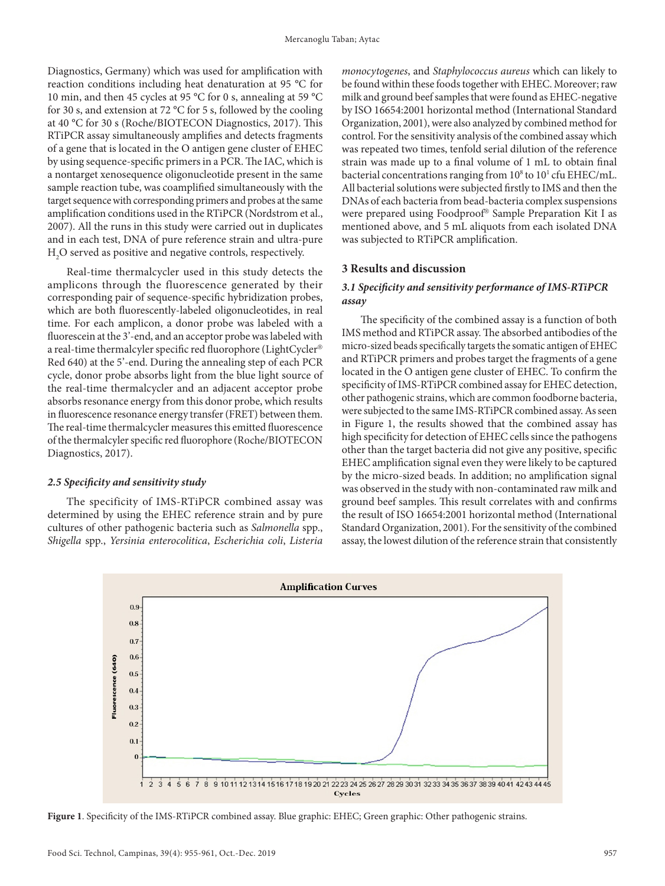Diagnostics, Germany) which was used for amplification with reaction conditions including heat denaturation at 95 °C for 10 min, and then 45 cycles at 95 °C for 0 s, annealing at 59 °C for 30 s, and extension at 72 °C for 5 s, followed by the cooling at 40 °C for 30 s (Roche/BIOTECON Diagnostics, 2017). This RTiPCR assay simultaneously amplifies and detects fragments of a gene that is located in the O antigen gene cluster of EHEC by using sequence-specific primers in a PCR. The IAC, which is a nontarget xenosequence oligonucleotide present in the same sample reaction tube, was coamplified simultaneously with the target sequence with corresponding primers and probes at the same amplification conditions used in the RTiPCR (Nordstrom et al., 2007). All the runs in this study were carried out in duplicates and in each test, DNA of pure reference strain and ultra-pure  $\rm H_2O$  served as positive and negative controls, respectively.

Real-time thermalcycler used in this study detects the amplicons through the fluorescence generated by their corresponding pair of sequence-specific hybridization probes, which are both fluorescently-labeled oligonucleotides, in real time. For each amplicon, a donor probe was labeled with a fluorescein at the 3'-end, and an acceptor probe was labeled with a real-time thermalcyler specific red fluorophore (LightCycler Red 640) at the 5'-end. During the annealing step of each PCR cycle, donor probe absorbs light from the blue light source of the real-time thermalcycler and an adjacent acceptor probe absorbs resonance energy from this donor probe, which results in fluorescence resonance energy transfer (FRET) between them. The real-time thermalcycler measures this emitted fluorescence of the thermalcyler specific red fluorophore (Roche/BIOTECON Diagnostics, 2017).

#### *2.5 Specificity and sensitivity study*

The specificity of IMS-RTiPCR combined assay was determined by using the EHEC reference strain and by pure cultures of other pathogenic bacteria such as *Salmonella* spp., *Shigella* spp., *Yersinia enterocolitica*, *Escherichia coli*, *Listeria*  *monocytogenes*, and *Staphylococcus aureus* which can likely to be found within these foods together with EHEC. Moreover; raw milk and ground beef samples that were found as EHEC-negative by ISO 16654:2001 horizontal method (International Standard Organization, 2001), were also analyzed by combined method for control. For the sensitivity analysis of the combined assay which was repeated two times, tenfold serial dilution of the reference strain was made up to a final volume of 1 mL to obtain final bacterial concentrations ranging from 10<sup>8</sup> to 10<sup>1</sup> cfu EHEC/mL. All bacterial solutions were subjected firstly to IMS and then the DNAs of each bacteria from bead-bacteria complex suspensions were prepared using Foodproof® Sample Preparation Kit I as mentioned above, and 5 mL aliquots from each isolated DNA was subjected to RTiPCR amplification.

## **3 Results and discussion**

# *3.1 Specificity and sensitivity performance of IMS-RTiPCR assay*

The specificity of the combined assay is a function of both IMS method and RTiPCR assay. The absorbed antibodies of the micro-sized beads specifically targets the somatic antigen of EHEC and RTiPCR primers and probes target the fragments of a gene located in the O antigen gene cluster of EHEC. To confirm the specificity of IMS-RTiPCR combined assay for EHEC detection, other pathogenic strains, which are common foodborne bacteria, were subjected to the same IMS-RTiPCR combined assay. As seen in Figure 1, the results showed that the combined assay has high specificity for detection of EHEC cells since the pathogens other than the target bacteria did not give any positive, specific EHEC amplification signal even they were likely to be captured by the micro-sized beads. In addition; no amplification signal was observed in the study with non-contaminated raw milk and ground beef samples. This result correlates with and confirms the result of ISO 16654:2001 horizontal method (International Standard Organization, 2001). For the sensitivity of the combined assay, the lowest dilution of the reference strain that consistently



**Figure 1**. Specificity of the IMS-RTiPCR combined assay. Blue graphic: EHEC; Green graphic: Other pathogenic strains.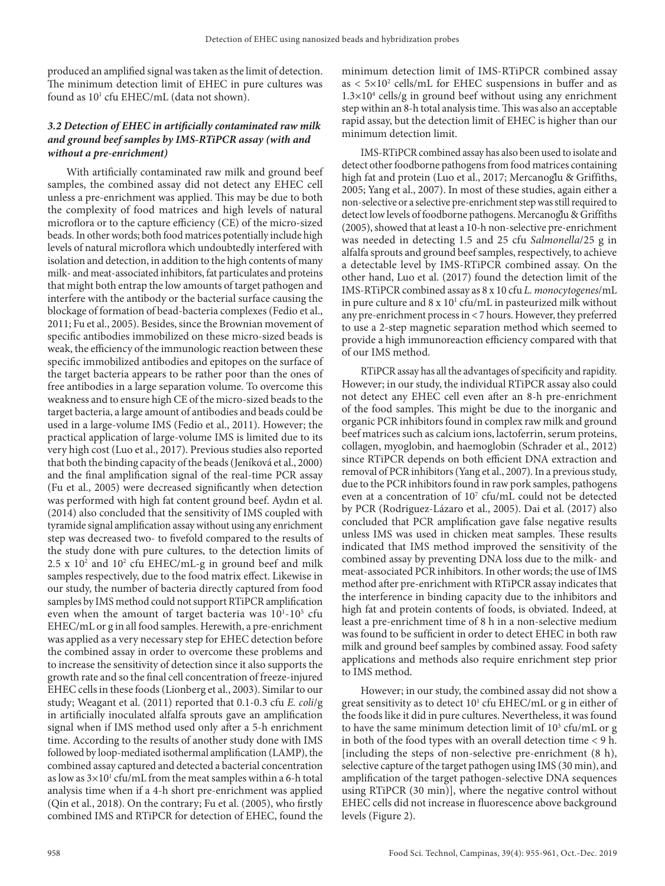produced an amplified signal was taken as the limit of detection. The minimum detection limit of EHEC in pure cultures was found as  $10^1$  cfu EHEC/mL (data not shown).

### *3.2 Detection of EHEC in artificially contaminated raw milk and ground beef samples by IMS-RTiPCR assay (with and without a pre-enrichment)*

With artificially contaminated raw milk and ground beef samples, the combined assay did not detect any EHEC cell unless a pre-enrichment was applied. This may be due to both the complexity of food matrices and high levels of natural microflora or to the capture efficiency (CE) of the micro-sized beads. In other words; both food matrices potentially include high levels of natural microflora which undoubtedly interfered with isolation and detection, in addition to the high contents of many milk- and meat-associated inhibitors, fat particulates and proteins that might both entrap the low amounts of target pathogen and interfere with the antibody or the bacterial surface causing the blockage of formation of bead-bacteria complexes (Fedio et al., 2011; Fu et al., 2005). Besides, since the Brownian movement of specific antibodies immobilized on these micro-sized beads is weak, the efficiency of the immunologic reaction between these specific immobilized antibodies and epitopes on the surface of the target bacteria appears to be rather poor than the ones of free antibodies in a large separation volume. To overcome this weakness and to ensure high CE of the micro-sized beads to the target bacteria, a large amount of antibodies and beads could be used in a large-volume IMS (Fedio et al., 2011). However; the practical application of large-volume IMS is limited due to its very high cost (Luo et al., 2017). Previous studies also reported that both the binding capacity of the beads (Jeníková et al., 2000) and the final amplification signal of the real-time PCR assay (Fu et al., 2005) were decreased significantly when detection was performed with high fat content ground beef. Aydın et al. (2014) also concluded that the sensitivity of IMS coupled with tyramide signal amplification assay without using any enrichment step was decreased two- to fivefold compared to the results of the study done with pure cultures, to the detection limits of  $2.5 \times 10^2$  and  $10^2$  cfu EHEC/mL-g in ground beef and milk samples respectively, due to the food matrix effect. Likewise in our study, the number of bacteria directly captured from food samples by IMS method could not support RTiPCR amplification even when the amount of target bacteria was  $10^{1}$ - $10^{5}$  cfu EHEC/mL or g in all food samples. Herewith, a pre-enrichment was applied as a very necessary step for EHEC detection before the combined assay in order to overcome these problems and to increase the sensitivity of detection since it also supports the growth rate and so the final cell concentration of freeze-injured EHEC cells in these foods (Lionberg et al., 2003). Similar to our study; Weagant et al. (2011) reported that 0.1-0.3 cfu *E. coli*/g in artificially inoculated alfalfa sprouts gave an amplification signal when if IMS method used only after a 5-h enrichment time. According to the results of another study done with IMS followed by loop-mediated isothermal amplification (LAMP), the combined assay captured and detected a bacterial concentration as low as  $3\times10^{1}$  cfu/mL from the meat samples within a 6-h total analysis time when if a 4-h short pre-enrichment was applied (Qin et al., 2018). On the contrary; Fu et al. (2005), who firstly combined IMS and RTiPCR for detection of EHEC, found the

minimum detection limit of IMS-RTiPCR combined assay as  $< 5 \times 10^2$  cells/mL for EHEC suspensions in buffer and as  $1.3 \times 10^4$  cells/g in ground beef without using any enrichment step within an 8-h total analysis time. This was also an acceptable rapid assay, but the detection limit of EHEC is higher than our minimum detection limit.

IMS-RTiPCR combined assay has also been used to isolate and detect other foodborne pathogens from food matrices containing high fat and protein (Luo et al., 2017; Mercanoglu & Griffiths, 2005; Yang et al., 2007). In most of these studies, again either a non-selective or a selective pre-enrichment step was still required to detect low levels of foodborne pathogens. Mercanoglu & Griffiths (2005), showed that at least a 10-h non-selective pre-enrichment was needed in detecting 1.5 and 25 cfu *Salmonella*/25 g in alfalfa sprouts and ground beef samples, respectively, to achieve a detectable level by IMS-RTiPCR combined assay. On the other hand, Luo et al. (2017) found the detection limit of the IMS-RTiPCR combined assay as 8 x 10 cfu *L. monocytogenes*/mL in pure culture and  $8 \times 10^{1}$  cfu/mL in pasteurized milk without any pre-enrichment process in < 7 hours. However, they preferred to use a 2-step magnetic separation method which seemed to provide a high immunoreaction efficiency compared with that of our IMS method.

RTiPCR assay has all the advantages of specificity and rapidity. However; in our study, the individual RTiPCR assay also could not detect any EHEC cell even after an 8-h pre-enrichment of the food samples. This might be due to the inorganic and organic PCR inhibitors found in complex raw milk and ground beef matrices such as calcium ions, lactoferrin, serum proteins, collagen, myoglobin, and haemoglobin (Schrader et al., 2012) since RTiPCR depends on both efficient DNA extraction and removal of PCR inhibitors (Yang et al., 2007). In a previous study, due to the PCR inhibitors found in raw pork samples, pathogens even at a concentration of  $10<sup>7</sup>$  cfu/mL could not be detected by PCR (Rodriguez-Lázaro et al., 2005). Dai et al. (2017) also concluded that PCR amplification gave false negative results unless IMS was used in chicken meat samples. These results indicated that IMS method improved the sensitivity of the combined assay by preventing DNA loss due to the milk- and meat-associated PCR inhibitors. In other words; the use of IMS method after pre-enrichment with RTiPCR assay indicates that the interference in binding capacity due to the inhibitors and high fat and protein contents of foods, is obviated. Indeed, at least a pre-enrichment time of 8 h in a non-selective medium was found to be sufficient in order to detect EHEC in both raw milk and ground beef samples by combined assay. Food safety applications and methods also require enrichment step prior to IMS method.

However; in our study, the combined assay did not show a great sensitivity as to detect  $10<sup>1</sup>$  cfu EHEC/mL or g in either of the foods like it did in pure cultures. Nevertheless, it was found to have the same minimum detection limit of  $10^3$  cfu/mL or g in both of the food types with an overall detection time < 9 h. [including the steps of non-selective pre-enrichment (8 h), selective capture of the target pathogen using IMS (30 min), and amplification of the target pathogen-selective DNA sequences using RTiPCR (30 min)], where the negative control without EHEC cells did not increase in fluorescence above background levels (Figure 2).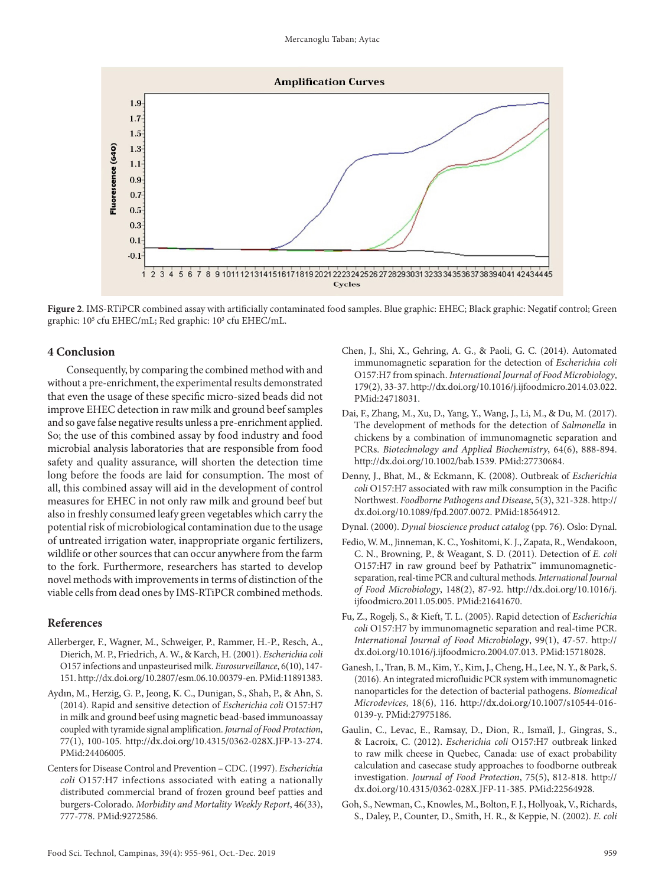

**Figure 2**. IMS-RTiPCR combined assay with artificially contaminated food samples. Blue graphic: EHEC; Black graphic: Negatif control; Green graphic: 10<sup>5</sup> cfu EHEC/mL; Red graphic: 10<sup>3</sup> cfu EHEC/mL.

### **4 Conclusion**

Consequently, by comparing the combined method with and without a pre-enrichment, the experimental results demonstrated that even the usage of these specific micro-sized beads did not improve EHEC detection in raw milk and ground beef samples and so gave false negative results unless a pre-enrichment applied. So; the use of this combined assay by food industry and food microbial analysis laboratories that are responsible from food safety and quality assurance, will shorten the detection time long before the foods are laid for consumption. The most of all, this combined assay will aid in the development of control measures for EHEC in not only raw milk and ground beef but also in freshly consumed leafy green vegetables which carry the potential risk of microbiological contamination due to the usage of untreated irrigation water, inappropriate organic fertilizers, wildlife or other sources that can occur anywhere from the farm to the fork. Furthermore, researchers has started to develop novel methods with improvements in terms of distinction of the viable cells from dead ones by IMS-RTiPCR combined methods.

#### **References**

- Allerberger, F., Wagner, M., Schweiger, P., Rammer, H.-P., Resch, A., Dierich, M. P., Friedrich, A. W., & Karch, H. (2001). *Escherichia coli* O157 infections and unpasteurised milk. *Eurosurveillance*, 6(10), 147- 151. [http://dx.doi.org/10.2807/esm.06.10.00379-en.](https://doi.org/10.2807/esm.06.10.00379-en) [PMid:11891383.](https://www.ncbi.nlm.nih.gov/entrez/query.fcgi?cmd=Retrieve&db=PubMed&list_uids=11891383&dopt=Abstract)
- Aydın, M., Herzig, G. P., Jeong, K. C., Dunigan, S., Shah, P., & Ahn, S. (2014). Rapid and sensitive detection of *Escherichia coli* O157:H7 in milk and ground beef using magnetic bead-based immunoassay coupled with tyramide signal amplification. *Journal of Food Protection*, 77(1), 100-105. [http://dx.doi.org/10.4315/0362-028X.JFP-13-274](https://doi.org/10.4315/0362-028X.JFP-13-274). [PMid:24406005.](https://www.ncbi.nlm.nih.gov/entrez/query.fcgi?cmd=Retrieve&db=PubMed&list_uids=24406005&dopt=Abstract)
- Centers for Disease Control and Prevention CDC. (1997). *Escherichia coli* O157:H7 infections associated with eating a nationally distributed commercial brand of frozen ground beef patties and burgers-Colorado. *Morbidity and Mortality Weekly Report*, 46(33), 777-778[. PMid:9272586.](https://www.ncbi.nlm.nih.gov/entrez/query.fcgi?cmd=Retrieve&db=PubMed&list_uids=9272586&dopt=Abstract)
- Chen, J., Shi, X., Gehring, A. G., & Paoli, G. C. (2014). Automated immunomagnetic separation for the detection of *Escherichia coli* O157:H7 from spinach. *International Journal of Food Microbiology*, 179(2), 33-37. [http://dx.doi.org/10.1016/j.ijfoodmicro.2014.03.022.](https://doi.org/10.1016/j.ijfoodmicro.2014.03.022) [PMid:24718031.](https://www.ncbi.nlm.nih.gov/entrez/query.fcgi?cmd=Retrieve&db=PubMed&list_uids=24718031&dopt=Abstract)
- Dai, F., Zhang, M., Xu, D., Yang, Y., Wang, J., Li, M., & Du, M. (2017). The development of methods for the detection of *Salmonella* in chickens by a combination of immunomagnetic separation and PCRs. *Biotechnology and Applied Biochemistry*, 64(6), 888-894. [http://dx.doi.org/10.1002/bab.1539.](https://doi.org/10.1002/bab.1539) [PMid:27730684.](https://www.ncbi.nlm.nih.gov/entrez/query.fcgi?cmd=Retrieve&db=PubMed&list_uids=27730684&dopt=Abstract)
- Denny, J., Bhat, M., & Eckmann, K. (2008). Outbreak of *Escherichia coli* O157:H7 associated with raw milk consumption in the Pacific Northwest. *Foodborne Pathogens and Disease*, 5(3), 321-328. [http://](https://doi.org/10.1089/fpd.2007.0072) [dx.doi.org/10.1089/fpd.2007.0072.](https://doi.org/10.1089/fpd.2007.0072) [PMid:18564912.](https://www.ncbi.nlm.nih.gov/entrez/query.fcgi?cmd=Retrieve&db=PubMed&list_uids=18564912&dopt=Abstract)
- Dynal. (2000). *Dynal bioscience product catalog* (pp. 76). Oslo: Dynal.
- Fedio, W. M., Jinneman, K. C., Yoshitomi, K. J., Zapata, R., Wendakoon, C. N., Browning, P., & Weagant, S. D. (2011). Detection of *E. coli* O157:H7 in raw ground beef by Pathatrix™ immunomagneticseparation, real-time PCR and cultural methods. *International Journal of Food Microbiology*, 148(2), 87-92. [http://dx.doi.org/10.1016/j.](https://doi.org/10.1016/j.ijfoodmicro.2011.05.005) [ijfoodmicro.2011.05.005.](https://doi.org/10.1016/j.ijfoodmicro.2011.05.005) [PMid:21641670.](https://www.ncbi.nlm.nih.gov/entrez/query.fcgi?cmd=Retrieve&db=PubMed&list_uids=21641670&dopt=Abstract)
- Fu, Z., Rogelj, S., & Kieft, T. L. (2005). Rapid detection of *Escherichia coli* O157:H7 by immunomagnetic separation and real-time PCR. *International Journal of Food Microbiology*, 99(1), 47-57. [http://](https://doi.org/10.1016/j.ijfoodmicro.2004.07.013) [dx.doi.org/10.1016/j.ijfoodmicro.2004.07.013.](https://doi.org/10.1016/j.ijfoodmicro.2004.07.013) [PMid:15718028.](https://www.ncbi.nlm.nih.gov/entrez/query.fcgi?cmd=Retrieve&db=PubMed&list_uids=15718028&dopt=Abstract)
- Ganesh, I., Tran, B. M., Kim, Y., Kim, J., Cheng, H., Lee, N. Y., & Park, S. (2016). An integrated microfluidic PCR system with immunomagnetic nanoparticles for the detection of bacterial pathogens. *Biomedical Microdevices*, 18(6), 116. [http://dx.doi.org/10.1007/s10544-016-](https://doi.org/10.1007/s10544-016-0139-y) [0139-y](https://doi.org/10.1007/s10544-016-0139-y)[. PMid:27975186.](https://www.ncbi.nlm.nih.gov/entrez/query.fcgi?cmd=Retrieve&db=PubMed&list_uids=27975186&dopt=Abstract)
- Gaulin, C., Levac, E., Ramsay, D., Dion, R., Ismaïl, J., Gingras, S., & Lacroix, C. (2012). *Escherichia coli* O157:H7 outbreak linked to raw milk cheese in Quebec, Canada: use of exact probability calculation and casecase study approaches to foodborne outbreak investigation. *Journal of Food Protection*, 75(5), 812-818. [http://](https://doi.org/10.4315/0362-028X.JFP-11-385) [dx.doi.org/10.4315/0362-028X.JFP-11-385.](https://doi.org/10.4315/0362-028X.JFP-11-385) [PMid:22564928.](https://www.ncbi.nlm.nih.gov/entrez/query.fcgi?cmd=Retrieve&db=PubMed&list_uids=22564928&dopt=Abstract)
- Goh, S., Newman, C., Knowles, M., Bolton, F. J., Hollyoak, V., Richards, S., Daley, P., Counter, D., Smith, H. R., & Keppie, N. (2002). *E. coli*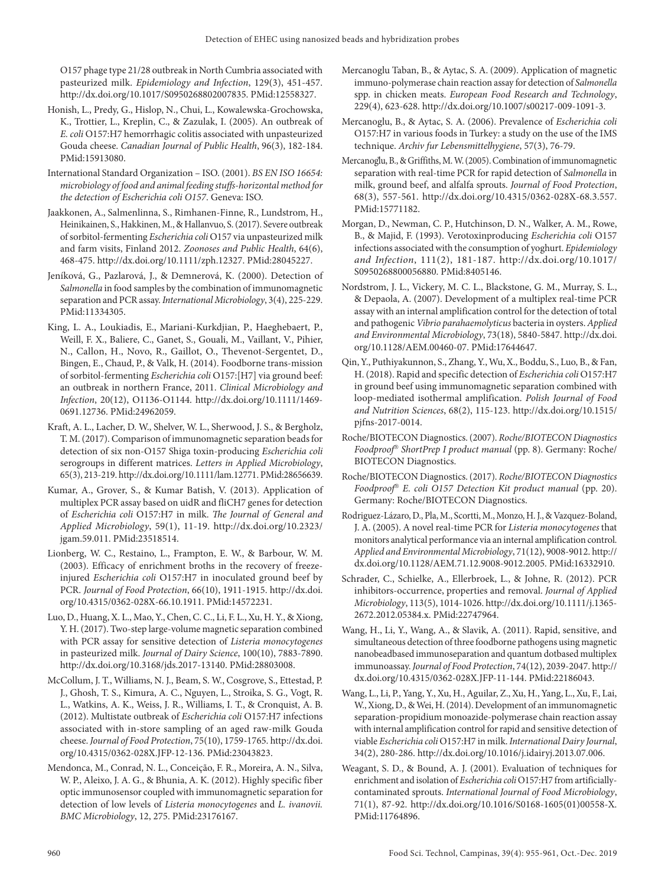O157 phage type 21/28 outbreak in North Cumbria associated with pasteurized milk. *Epidemiology and Infection*, 129(3), 451-457. [http://dx.doi.org/10.1017/S0950268802007835.](https://doi.org/10.1017/S0950268802007835) [PMid:12558327.](https://www.ncbi.nlm.nih.gov/entrez/query.fcgi?cmd=Retrieve&db=PubMed&list_uids=12558327&dopt=Abstract)

- Honish, L., Predy, G., Hislop, N., Chui, L., Kowalewska-Grochowska, K., Trottier, L., Kreplin, C., & Zazulak, I. (2005). An outbreak of *E. coli* O157:H7 hemorrhagic colitis associated with unpasteurized Gouda cheese. *Canadian Journal of Public Health*, 96(3), 182-184. [PMid:15913080.](https://www.ncbi.nlm.nih.gov/entrez/query.fcgi?cmd=Retrieve&db=PubMed&list_uids=15913080&dopt=Abstract)
- International Standard Organization ISO. (2001). *BS EN ISO 16654: microbiology of food and animal feeding stuffs-horizontal method for the detection of Escherichia coli O157*. Geneva: ISO.
- Jaakkonen, A., Salmenlinna, S., Rimhanen-Finne, R., Lundstrom, H., Heinikainen, S., Hakkinen, M., & Hallanvuo, S. (2017). Severe outbreak of sorbitol-fermenting *Escherichia coli* O157 via unpasteurized milk and farm visits, Finland 2012. *Zoonoses and Public Health*, 64(6), 468-475. [http://dx.doi.org/10.1111/zph.12327](https://doi.org/10.1111/zph.12327)[. PMid:28045227.](https://www.ncbi.nlm.nih.gov/entrez/query.fcgi?cmd=Retrieve&db=PubMed&list_uids=28045227&dopt=Abstract)
- Jeníková, G., Pazlarová, J., & Demnerová, K. (2000). Detection of *Salmonella* in food samples by the combination of immunomagnetic separation and PCR assay. *International Microbiology*, 3(4), 225-229. [PMid:11334305.](https://www.ncbi.nlm.nih.gov/entrez/query.fcgi?cmd=Retrieve&db=PubMed&list_uids=11334305&dopt=Abstract)
- King, L. A., Loukiadis, E., Mariani-Kurkdjian, P., Haeghebaert, P., Weill, F. X., Baliere, C., Ganet, S., Gouali, M., Vaillant, V., Pihier, N., Callon, H., Novo, R., Gaillot, O., Thevenot-Sergentet, D., Bingen, E., Chaud, P., & Valk, H. (2014). Foodborne trans-mission of sorbitol-fermenting *Escherichia coli* O157:[H7] via ground beef: an outbreak in northern France, 2011. *Clinical Microbiology and Infection*, 20(12), O1136-O1144. [http://dx.doi.org/10.1111/1469-](https://doi.org/10.1111/1469-0691.12736) [0691.12736.](https://doi.org/10.1111/1469-0691.12736) [PMid:24962059.](https://www.ncbi.nlm.nih.gov/entrez/query.fcgi?cmd=Retrieve&db=PubMed&list_uids=24962059&dopt=Abstract)
- Kraft, A. L., Lacher, D. W., Shelver, W. L., Sherwood, J. S., & Bergholz, T. M. (2017). Comparison of immunomagnetic separation beads for detection of six non-O157 Shiga toxin-producing *Escherichia coli* serogroups in different matrices. *Letters in Applied Microbiology*, 65(3), 213-219. [http://dx.doi.org/10.1111/lam.12771.](https://doi.org/10.1111/lam.12771) [PMid:28656639.](https://www.ncbi.nlm.nih.gov/entrez/query.fcgi?cmd=Retrieve&db=PubMed&list_uids=28656639&dopt=Abstract)
- Kumar, A., Grover, S., & Kumar Batish, V. (2013). Application of multiplex PCR assay based on uidR and fliCH7 genes for detection of *Escherichia coli* O157:H7 in milk. *The Journal of General and Applied Microbiology*, 59(1), 11-19. [http://dx.doi.org/10.2323/](https://doi.org/10.2323/jgam.59.011) [jgam.59.011](https://doi.org/10.2323/jgam.59.011)[. PMid:23518514.](https://www.ncbi.nlm.nih.gov/entrez/query.fcgi?cmd=Retrieve&db=PubMed&list_uids=23518514&dopt=Abstract)
- Lionberg, W. C., Restaino, L., Frampton, E. W., & Barbour, W. M. (2003). Efficacy of enrichment broths in the recovery of freezeinjured *Escherichia coli* O157:H7 in inoculated ground beef by PCR. *Journal of Food Protection*, 66(10), 1911-1915. [http://dx.doi.](https://doi.org/10.4315/0362-028X-66.10.1911) [org/10.4315/0362-028X-66.10.1911.](https://doi.org/10.4315/0362-028X-66.10.1911) [PMid:14572231.](https://www.ncbi.nlm.nih.gov/entrez/query.fcgi?cmd=Retrieve&db=PubMed&list_uids=14572231&dopt=Abstract)
- Luo, D., Huang, X. L., Mao, Y., Chen, C. C., Li, F. L., Xu, H. Y., & Xiong, Y. H. (2017). Two-step large-volume magnetic separation combined with PCR assay for sensitive detection of *Listeria monocytogenes* in pasteurized milk. *Journal of Dairy Science*, 100(10), 7883-7890. [http://dx.doi.org/10.3168/jds.2017-13140.](https://doi.org/10.3168/jds.2017-13140) [PMid:28803008.](https://www.ncbi.nlm.nih.gov/entrez/query.fcgi?cmd=Retrieve&db=PubMed&list_uids=28803008&dopt=Abstract)
- McCollum, J. T., Williams, N. J., Beam, S. W., Cosgrove, S., Ettestad, P. J., Ghosh, T. S., Kimura, A. C., Nguyen, L., Stroika, S. G., Vogt, R. L., Watkins, A. K., Weiss, J. R., Williams, I. T., & Cronquist, A. B. (2012). Multistate outbreak of *Escherichia coli* O157:H7 infections associated with in-store sampling of an aged raw-milk Gouda cheese. *Journal of Food Protection*, 75(10), 1759-1765. [http://dx.doi.](https://doi.org/10.4315/0362-028X.JFP-12-136) [org/10.4315/0362-028X.JFP-12-136](https://doi.org/10.4315/0362-028X.JFP-12-136). [PMid:23043823.](https://www.ncbi.nlm.nih.gov/entrez/query.fcgi?cmd=Retrieve&db=PubMed&list_uids=23043823&dopt=Abstract)
- Mendonca, M., Conrad, N. L., Conceição, F. R., Moreira, A. N., Silva, W. P., Aleixo, J. A. G., & Bhunia, A. K. (2012). Highly specific fiber optic immunosensor coupled with immunomagnetic separation for detection of low levels of *Listeria monocytogenes* and *L. ivanovii. BMC Microbiology*, 12, 275[. PMid:23176167.](https://www.ncbi.nlm.nih.gov/entrez/query.fcgi?cmd=Retrieve&db=PubMed&list_uids=23176167&dopt=Abstract)
- Mercanoglu Taban, B., & Aytac, S. A. (2009). Application of magnetic immuno-polymerase chain reaction assay for detection of *Salmonella* spp. in chicken meats. *European Food Research and Technology*, 229(4), 623-628. [http://dx.doi.org/10.1007/s00217-009-1091-3.](https://doi.org/10.1007/s00217-009-1091-3)
- Mercanoglu, B., & Aytac, S. A. (2006). Prevalence of *Escherichia coli* O157:H7 in various foods in Turkey: a study on the use of the IMS technique. *Archiv fur Lebensmittelhygiene*, 57(3), 76-79.
- Mercanoglu, B., & Griffiths, M. W. (2005). Combination of immunomagnetic separation with real-time PCR for rapid detection of *Salmonella* in milk, ground beef, and alfalfa sprouts. *Journal of Food Protection*, 68(3), 557-561. [http://dx.doi.org/10.4315/0362-028X-68.3.557.](https://doi.org/10.4315/0362-028X-68.3.557) [PMid:15771182.](https://www.ncbi.nlm.nih.gov/entrez/query.fcgi?cmd=Retrieve&db=PubMed&list_uids=15771182&dopt=Abstract)
- Morgan, D., Newman, C. P., Hutchinson, D. N., Walker, A. M., Rowe, B., & Majid, F. (1993). Verotoxinproducing *Escherichia coli* O157 infections associated with the consumption of yoghurt. *Epidemiology and Infection*, 111(2), 181-187. [http://dx.doi.org/10.1017/](https://doi.org/10.1017/S0950268800056880) [S0950268800056880.](https://doi.org/10.1017/S0950268800056880) [PMid:8405146.](https://www.ncbi.nlm.nih.gov/entrez/query.fcgi?cmd=Retrieve&db=PubMed&list_uids=8405146&dopt=Abstract)
- Nordstrom, J. L., Vickery, M. C. L., Blackstone, G. M., Murray, S. L., & Depaola, A. (2007). Development of a multiplex real-time PCR assay with an internal amplification control for the detection of total and pathogenic *Vibrio parahaemolyticus* bacteria in oysters. *Applied and Environmental Microbiology*, 73(18), 5840-5847. [http://dx.doi.](https://doi.org/10.1128/AEM.00460-07) [org/10.1128/AEM.00460-07](https://doi.org/10.1128/AEM.00460-07)[. PMid:17644647.](https://www.ncbi.nlm.nih.gov/entrez/query.fcgi?cmd=Retrieve&db=PubMed&list_uids=17644647&dopt=Abstract)
- Qin, Y., Puthiyakunnon, S., Zhang, Y., Wu, X., Boddu, S., Luo, B., & Fan, H. (2018). Rapid and specific detection of *Escherichia coli* O157:H7 in ground beef using immunomagnetic separation combined with loop-mediated isothermal amplification. *Polish Journal of Food and Nutrition Sciences*, 68(2), 115-123. [http://dx.doi.org/10.1515/](https://doi.org/10.1515/pjfns-2017-0014) [pjfns-2017-0014](https://doi.org/10.1515/pjfns-2017-0014).
- Roche/BIOTECON Diagnostics. (2007). *Roche/BIOTECON Diagnostics Foodproof ShortPrep I product manual* (pp. 8). Germany: Roche/ BIOTECON Diagnostics.
- Roche/BIOTECON Diagnostics. (2017). *Roche/BIOTECON Diagnostics Foodproof E. coli O157 Detection Kit product manual* (pp. 20). Germany: Roche/BIOTECON Diagnostics.
- Rodriguez-Lázaro, D., Pla, M., Scortti, M., Monzo, H. J., & Vazquez-Boland, J. A. (2005). A novel real-time PCR for *Listeria monocytogenes* that monitors analytical performance via an internal amplification control. *Applied and Environmental Microbiology*, 71(12), 9008-9012. [http://](https://doi.org/10.1128/AEM.71.12.9008-9012.2005) [dx.doi.org/10.1128/AEM.71.12.9008-9012.2005.](https://doi.org/10.1128/AEM.71.12.9008-9012.2005) [PMid:16332910.](https://www.ncbi.nlm.nih.gov/entrez/query.fcgi?cmd=Retrieve&db=PubMed&list_uids=16332910&dopt=Abstract)
- Schrader, C., Schielke, A., Ellerbroek, L., & Johne, R. (2012). PCR inhibitors-occurrence, properties and removal. *Journal of Applied Microbiology*, 113(5), 1014-1026. [http://dx.doi.org/10.1111/j.1365-](https://doi.org/10.1111/j.1365-2672.2012.05384.x) [2672.2012.05384.x](https://doi.org/10.1111/j.1365-2672.2012.05384.x)[. PMid:22747964.](https://www.ncbi.nlm.nih.gov/entrez/query.fcgi?cmd=Retrieve&db=PubMed&list_uids=22747964&dopt=Abstract)
- Wang, H., Li, Y., Wang, A., & Slavik, A. (2011). Rapid, sensitive, and simultaneous detection of three foodborne pathogens using magnetic nanobeadbased immunoseparation and quantum dotbased multiplex immunoassay. *Journal of Food Protection*, 74(12), 2039-2047. [http://](https://doi.org/10.4315/0362-028X.JFP-11-144) [dx.doi.org/10.4315/0362-028X.JFP-11-144.](https://doi.org/10.4315/0362-028X.JFP-11-144) [PMid:22186043.](https://www.ncbi.nlm.nih.gov/entrez/query.fcgi?cmd=Retrieve&db=PubMed&list_uids=22186043&dopt=Abstract)
- Wang, L., Li, P., Yang, Y., Xu, H., Aguilar, Z., Xu, H., Yang, L., Xu, F., Lai, W., Xiong, D., & Wei, H. (2014). Development of an immunomagnetic separation-propidium monoazide-polymerase chain reaction assay with internal amplification control for rapid and sensitive detection of viable *Escherichia coli* O157:H7 in milk. *International Dairy Journal*, 34(2), 280-286. [http://dx.doi.org/10.1016/j.idairyj.2013.07.006.](https://doi.org/10.1016/j.idairyj.2013.07.006)
- Weagant, S. D., & Bound, A. J. (2001). Evaluation of techniques for enrichment and isolation of *Escherichia coli* O157:H7 from artificiallycontaminated sprouts. *International Journal of Food Microbiology*, 71(1), 87-92. [http://dx.doi.org/10.1016/S0168-1605\(01\)00558-X.](https://doi.org/10.1016/S0168-1605(01)00558-X) [PMid:11764896.](https://www.ncbi.nlm.nih.gov/entrez/query.fcgi?cmd=Retrieve&db=PubMed&list_uids=11764896&dopt=Abstract)